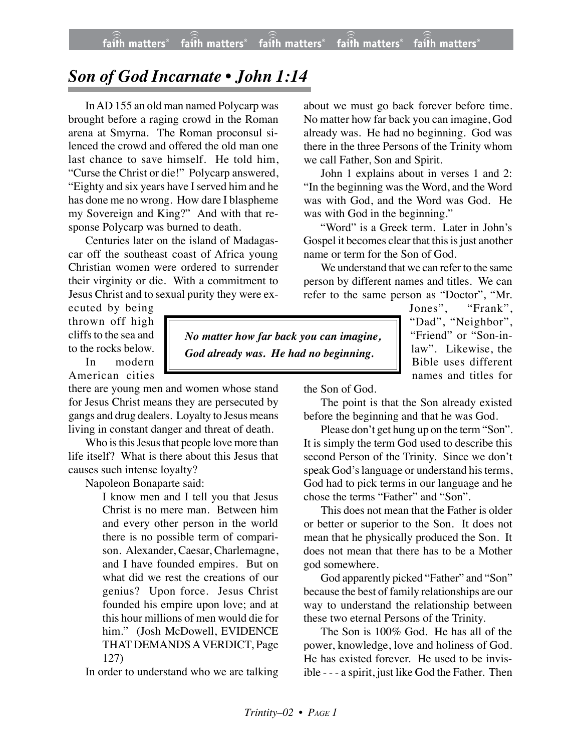## *Son of God Incarnate • John 1:14*

InAD 155 an old man named Polycarp was brought before a raging crowd in the Roman arena at Smyrna. The Roman proconsul silenced the crowd and offered the old man one last chance to save himself. He told him, "Curse the Christ or die!" Polycarp answered, "Eighty and six years have I served him and he has done me no wrong. How dare I blaspheme my Sovereign and King?" And with that response Polycarp was burned to death.

Centuries later on the island of Madagascar off the southeast coast of Africa young Christian women were ordered to surrender their virginity or die. With a commitment to Jesus Christ and to sexual purity they were ex-

ecuted by being thrown off high cliffs to the sea and to the rocks below.

In modern American cities

there are young men and women whose stand for Jesus Christ means they are persecuted by gangs and drug dealers. Loyalty to Jesus means living in constant danger and threat of death.

Who is this Jesus that people love more than life itself? What is there about this Jesus that causes such intense loyalty?

Napoleon Bonaparte said:

I know men and I tell you that Jesus Christ is no mere man. Between him and every other person in the world there is no possible term of comparison. Alexander, Caesar, Charlemagne, and I have founded empires. But on what did we rest the creations of our genius? Upon force. Jesus Christ founded his empire upon love; and at this hour millions of men would die for him." (Josh McDowell, EVIDENCE THAT DEMANDS A VERDICT, Page 127)

In order to understand who we are talking

about we must go back forever before time. No matter how far back you can imagine, God already was. He had no beginning. God was there in the three Persons of the Trinity whom we call Father, Son and Spirit.

John 1 explains about in verses 1 and 2: "In the beginning was the Word, and the Word was with God, and the Word was God. He was with God in the beginning."

"Word" is a Greek term. Later in John's Gospel it becomes clear that this is just another name or term for the Son of God.

We understand that we can refer to the same person by different names and titles. We can refer to the same person as "Doctor", "Mr.

> Jones", "Frank", "Dad", "Neighbor", "Friend" or "Son-inlaw". Likewise, the Bible uses different names and titles for

*No matter how far back you can imagine, God already was. He had no beginning.*

the Son of God.

The point is that the Son already existed before the beginning and that he was God.

Please don't get hung up on the term "Son". It is simply the term God used to describe this second Person of the Trinity. Since we don't speak God's language or understand his terms, God had to pick terms in our language and he chose the terms "Father" and "Son".

This does not mean that the Father is older or better or superior to the Son. It does not mean that he physically produced the Son. It does not mean that there has to be a Mother god somewhere.

God apparently picked "Father" and "Son" because the best of family relationships are our way to understand the relationship between these two eternal Persons of the Trinity.

The Son is 100% God. He has all of the power, knowledge, love and holiness of God. He has existed forever. He used to be invisible - - - a spirit, just like God the Father. Then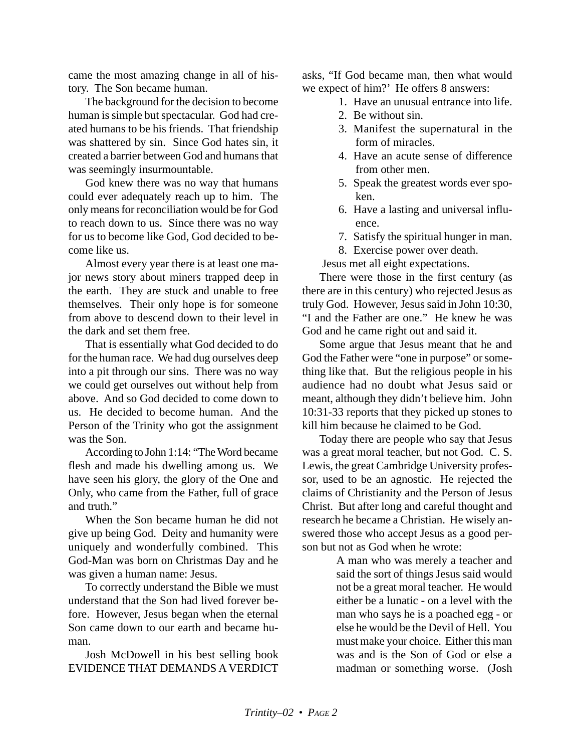came the most amazing change in all of history. The Son became human.

The background for the decision to become human is simple but spectacular. God had created humans to be his friends. That friendship was shattered by sin. Since God hates sin, it created a barrier between God and humans that was seemingly insurmountable.

God knew there was no way that humans could ever adequately reach up to him. The only means for reconciliation would be for God to reach down to us. Since there was no way for us to become like God, God decided to become like us.

Almost every year there is at least one major news story about miners trapped deep in the earth. They are stuck and unable to free themselves. Their only hope is for someone from above to descend down to their level in the dark and set them free.

That is essentially what God decided to do for the human race. We had dug ourselves deep into a pit through our sins. There was no way we could get ourselves out without help from above. And so God decided to come down to us. He decided to become human. And the Person of the Trinity who got the assignment was the Son.

According to John 1:14: "The Word became flesh and made his dwelling among us. We have seen his glory, the glory of the One and Only, who came from the Father, full of grace and truth."

When the Son became human he did not give up being God. Deity and humanity were uniquely and wonderfully combined. This God-Man was born on Christmas Day and he was given a human name: Jesus.

To correctly understand the Bible we must understand that the Son had lived forever before. However, Jesus began when the eternal Son came down to our earth and became human.

Josh McDowell in his best selling book EVIDENCE THAT DEMANDS A VERDICT asks, "If God became man, then what would we expect of him?' He offers 8 answers:

- 1. Have an unusual entrance into life.
- 2. Be without sin.
- 3. Manifest the supernatural in the form of miracles.
- 4. Have an acute sense of difference from other men.
- 5. Speak the greatest words ever spoken.
- 6. Have a lasting and universal influence.
- 7. Satisfy the spiritual hunger in man.
- 8. Exercise power over death.
- Jesus met all eight expectations.

There were those in the first century (as there are in this century) who rejected Jesus as truly God. However, Jesus said in John 10:30, "I and the Father are one." He knew he was God and he came right out and said it.

Some argue that Jesus meant that he and God the Father were "one in purpose" or something like that. But the religious people in his audience had no doubt what Jesus said or meant, although they didn't believe him. John 10:31-33 reports that they picked up stones to kill him because he claimed to be God.

Today there are people who say that Jesus was a great moral teacher, but not God. C. S. Lewis, the great Cambridge University professor, used to be an agnostic. He rejected the claims of Christianity and the Person of Jesus Christ. But after long and careful thought and research he became a Christian. He wisely answered those who accept Jesus as a good person but not as God when he wrote:

> A man who was merely a teacher and said the sort of things Jesus said would not be a great moral teacher. He would either be a lunatic - on a level with the man who says he is a poached egg - or else he would be the Devil of Hell. You must make your choice. Either this man was and is the Son of God or else a madman or something worse. (Josh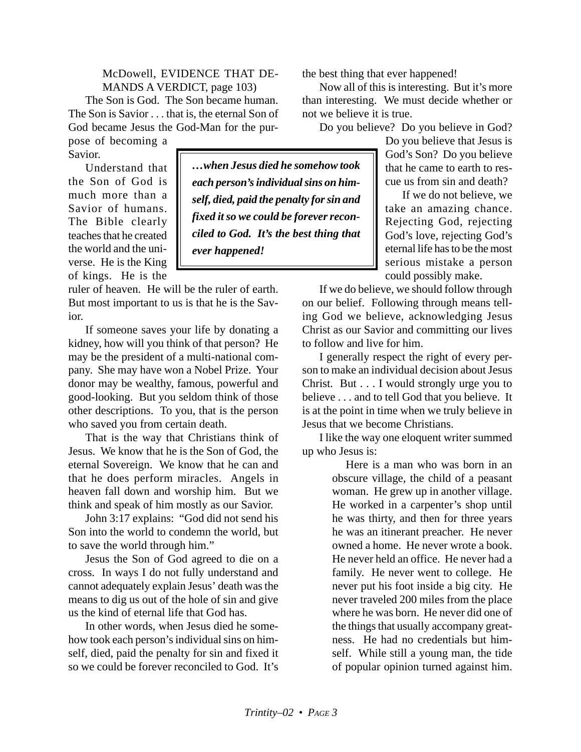McDowell, EVIDENCE THAT DE-MANDS A VERDICT, page 103)

> *…when Jesus died he somehow took each person's individual sins on himself, died, paid the penalty for sin and fixed it so we could be forever reconciled to God. It's the best thing that*

The Son is God. The Son became human. The Son is Savior . . . that is, the eternal Son of God became Jesus the God-Man for the pur-

pose of becoming a Savior.

Understand that the Son of God is much more than a Savior of humans. The Bible clearly teaches that he created the world and the universe. He is the King of kings. He is the

ruler of heaven. He will be the ruler of earth. But most important to us is that he is the Savior.

*ever happened!*

If someone saves your life by donating a kidney, how will you think of that person? He may be the president of a multi-national company. She may have won a Nobel Prize. Your donor may be wealthy, famous, powerful and good-looking. But you seldom think of those other descriptions. To you, that is the person who saved you from certain death.

That is the way that Christians think of Jesus. We know that he is the Son of God, the eternal Sovereign. We know that he can and that he does perform miracles. Angels in heaven fall down and worship him. But we think and speak of him mostly as our Savior.

John 3:17 explains: "God did not send his Son into the world to condemn the world, but to save the world through him."

Jesus the Son of God agreed to die on a cross. In ways I do not fully understand and cannot adequately explain Jesus' death was the means to dig us out of the hole of sin and give us the kind of eternal life that God has.

In other words, when Jesus died he somehow took each person's individual sins on himself, died, paid the penalty for sin and fixed it so we could be forever reconciled to God. It's

the best thing that ever happened!

Now all of this is interesting. But it's more than interesting. We must decide whether or not we believe it is true.

Do you believe? Do you believe in God?

Do you believe that Jesus is God's Son? Do you believe that he came to earth to rescue us from sin and death?

If we do not believe, we take an amazing chance. Rejecting God, rejecting God's love, rejecting God's eternal life has to be the most serious mistake a person could possibly make.

If we do believe, we should follow through on our belief. Following through means telling God we believe, acknowledging Jesus Christ as our Savior and committing our lives to follow and live for him.

I generally respect the right of every person to make an individual decision about Jesus Christ. But . . . I would strongly urge you to believe . . . and to tell God that you believe. It is at the point in time when we truly believe in Jesus that we become Christians.

I like the way one eloquent writer summed up who Jesus is:

> Here is a man who was born in an obscure village, the child of a peasant woman. He grew up in another village. He worked in a carpenter's shop until he was thirty, and then for three years he was an itinerant preacher. He never owned a home. He never wrote a book. He never held an office. He never had a family. He never went to college. He never put his foot inside a big city. He never traveled 200 miles from the place where he was born. He never did one of the things that usually accompany greatness. He had no credentials but himself. While still a young man, the tide of popular opinion turned against him.